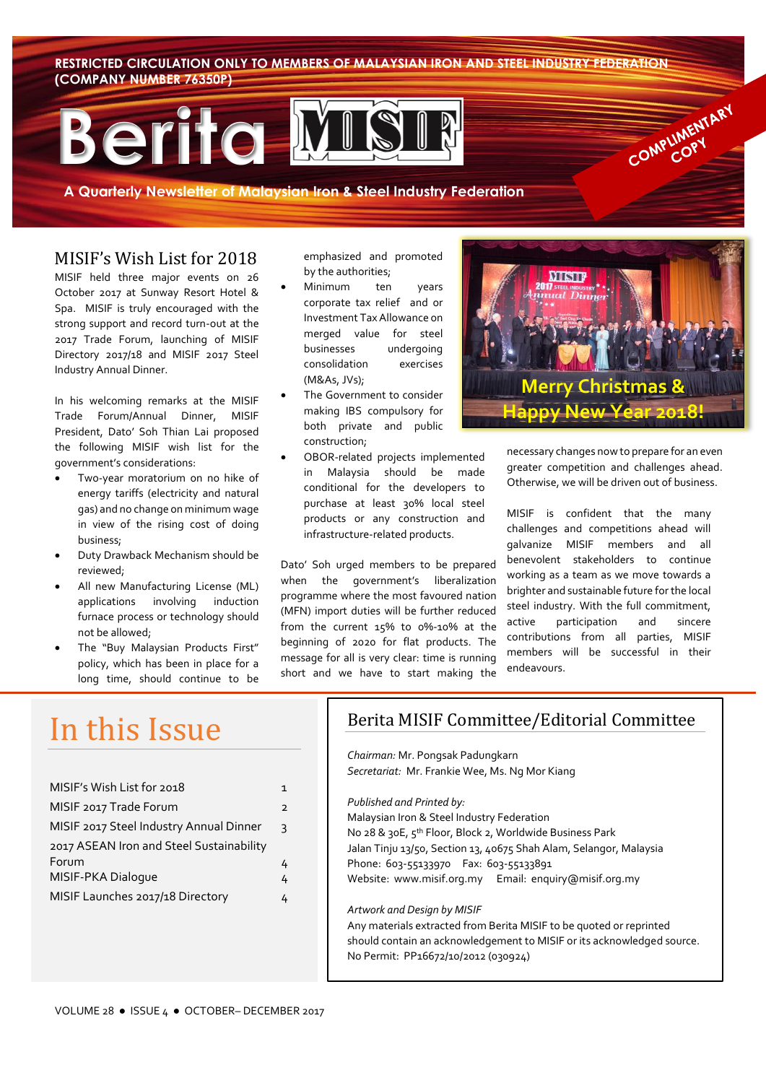**RESTRICTED CIRCULATION ONLY TO MEMBERS OF MALAYSIAN IRON AND STEEL INDUSTRY FEDERATION (COMPANY NUMBER 76350P)**

# **Berita**

**A Quarterly Newsletter of Malaysian Iron & Steel Industry Federation**

### MISIF's Wish List for 2018

MISIF held three major events on 26 October 2017 at Sunway Resort Hotel & Spa. MISIF is truly encouraged with the strong support and record turn-out at the 2017 Trade Forum, launching of MISIF Directory 2017/18 and MISIF 2017 Steel Industry Annual Dinner.

In his welcoming remarks at the MISIF Trade Forum/Annual Dinner, MISIF President, Dato' Soh Thian Lai proposed the following MISIF wish list for the government's considerations:

- Two-year moratorium on no hike of energy tariffs (electricity and natural gas) and no change on minimum wage in view of the rising cost of doing business;
- Duty Drawback Mechanism should be reviewed;
- All new Manufacturing License (ML) applications involving induction furnace process or technology should not be allowed;
- The "Buy Malaysian Products First" policy, which has been in place for a long time, should continue to be

emphasized and promoted by the authorities;

- Minimum ten years corporate tax relief and or Investment Tax Allowance on merged value for steel businesses undergoing consolidation exercises (M&As, JVs);
- The Government to consider making IBS compulsory for both private and public construction;
- OBOR-related projects implemented in Malaysia should be made conditional for the developers to purchase at least 30% local steel products or any construction and infrastructure-related products.

Dato' Soh urged members to be prepared when the government's liberalization programme where the most favoured nation (MFN) import duties will be further reduced from the current 15% to 0%-10% at the beginning of 2020 for flat products. The message for all is very clear: time is running short and we have to start making the



COMPLIMENTARY

necessary changes now to prepare for an even greater competition and challenges ahead. Otherwise, we will be driven out of business.

MISIF is confident that the many challenges and competitions ahead will galvanize MISIF members and all benevolent stakeholders to continue working as a team as we move towards a brighter and sustainable future for the local steel industry. With the full commitment, active participation and sincere contributions from all parties, MISIF members will be successful in their endeavours.

# In this Issue

| MISIF's Wish List for 2018               | 1              |
|------------------------------------------|----------------|
| MISIF 2017 Trade Forum                   | $\overline{2}$ |
| MISIF 2017 Steel Industry Annual Dinner  | κ              |
| 2017 ASEAN Iron and Steel Sustainability |                |
| Forum                                    |                |
| MISIF-PKA Dialoque                       | 4              |
| MISIF Launches 2017/18 Directory         |                |

# Berita MISIF Committee/Editorial Committee

*Chairman:* Mr. Pongsak Padungkarn *Secretariat:* Mr. Frankie Wee, Ms. Ng Mor Kiang

*Published and Printed by:* 

Malaysian Iron & Steel Industry Federation No 28 & 30E, 5<sup>th</sup> Floor, Block 2, Worldwide Business Park Jalan Tinju 13/50, Section 13, 40675 Shah Alam, Selangor, Malaysia Phone: 603-55133970 Fax: 603-55133891 Website: www.misif.org.my Email: enquiry@misif.org.my

#### *Artwork and Design by MISIF*

Any materials extracted from Berita MISIF to be quoted or reprinted should contain an acknowledgement to MISIF or its acknowledged source. No Permit: PP16672/10/2012 (030924)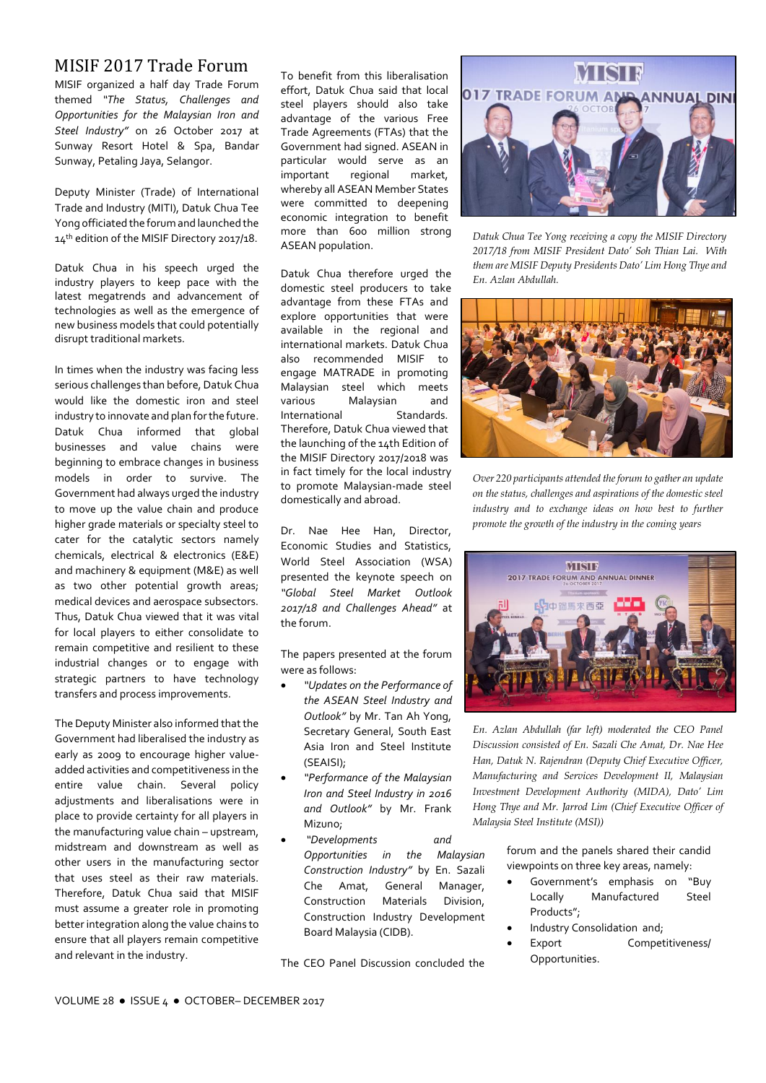# MISIF 2017 Trade Forum

MISIF organized a half day Trade Forum themed *"The Status, Challenges and Opportunities for the Malaysian Iron and Steel Industry"* on 26 October 2017 at Sunway Resort Hotel & Spa, Bandar Sunway, Petaling Jaya, Selangor.

Deputy Minister (Trade) of International Trade and Industry (MITI), Datuk Chua Tee Yong officiated the forum and launched the 14<sup>th</sup> edition of the MISIF Directory 2017/18.

Datuk Chua in his speech urged the industry players to keep pace with the latest megatrends and advancement of technologies as well as the emergence of new business models that could potentially disrupt traditional markets.

In times when the industry was facing less serious challenges than before, Datuk Chua would like the domestic iron and steel industry to innovate and plan for the future. Datuk Chua informed that global businesses and value chains were beginning to embrace changes in business models in order to survive. The Government had always urged the industry to move up the value chain and produce higher grade materials or specialty steel to cater for the catalytic sectors namely chemicals, electrical & electronics (E&E) and machinery & equipment (M&E) as well as two other potential growth areas; medical devices and aerospace subsectors. Thus, Datuk Chua viewed that it was vital for local players to either consolidate to remain competitive and resilient to these industrial changes or to engage with strategic partners to have technology transfers and process improvements.

The Deputy Minister also informed that the Government had liberalised the industry as early as 2009 to encourage higher valueadded activities and competitiveness in the entire value chain. Several policy adjustments and liberalisations were in place to provide certainty for all players in the manufacturing value chain – upstream, midstream and downstream as well as other users in the manufacturing sector that uses steel as their raw materials. Therefore, Datuk Chua said that MISIF must assume a greater role in promoting better integration along the value chains to ensure that all players remain competitive and relevant in the industry.

To benefit from this liberalisation effort, Datuk Chua said that local steel players should also take advantage of the various Free Trade Agreements (FTAs) that the Government had signed. ASEAN in particular would serve as an<br>important regional market, important regional whereby all ASEAN Member States were committed to deepening economic integration to benefit more than 600 million strong ASEAN population.

Datuk Chua therefore urged the domestic steel producers to take advantage from these FTAs and explore opportunities that were available in the regional and international markets. Datuk Chua also recommended MISIF to engage MATRADE in promoting Malaysian steel which meets<br>various Malaysian and Malaysian and<br>Standards. International Therefore, Datuk Chua viewed that the launching of the 14th Edition of the MISIF Directory 2017/2018 was in fact timely for the local industry to promote Malaysian-made steel domestically and abroad.

Dr. Nae Hee Han, Director, Economic Studies and Statistics, World Steel Association (WSA) presented the keynote speech on *"Global Steel Market Outlook 2017/18 and Challenges Ahead"* at the forum.

The papers presented at the forum were as follows:

- *"Updates on the Performance of the ASEAN Steel Industry and Outlook"* by Mr. Tan Ah Yong, Secretary General, South East Asia Iron and Steel Institute (SEAISI);
- *"Performance of the Malaysian Iron and Steel Industry in 2016 and Outlook"* by Mr. Frank Mizuno;
- *"Developments and Opportunities in the Malaysian Construction Industry"* by En. Sazali Che Amat, General Manager, Construction Materials Division, Construction Industry Development Board Malaysia (CIDB).

The CEO Panel Discussion concluded the



*Datuk Chua Tee Yong receiving a copy the MISIF Directory 2017/18 from MISIF President Dato' Soh Thian Lai. With them are MISIF Deputy Presidents Dato' Lim Hong Thye and En. Azlan Abdullah.*



*Over 220 participants attended the forum to gather an update on the status, challenges and aspirations of the domestic steel industry and to exchange ideas on how best to further promote the growth of the industry in the coming years*



*En. Azlan Abdullah (far left) moderated the CEO Panel Discussion consisted of En. Sazali Che Amat, Dr. Nae Hee Han, Datuk N. Rajendran (Deputy Chief Executive Officer, Manufacturing and Services Development II, Malaysian Investment Development Authority (MIDA), Dato' Lim Hong Thye and Mr. Jarrod Lim (Chief Executive Officer of Malaysia Steel Institute (MSI))*

> forum and the panels shared their candid viewpoints on three key areas, namely:

- Government's emphasis on "Buy Locally Manufactured Steel Products";
- Industry Consolidation and;
- Export Competitiveness/ Opportunities.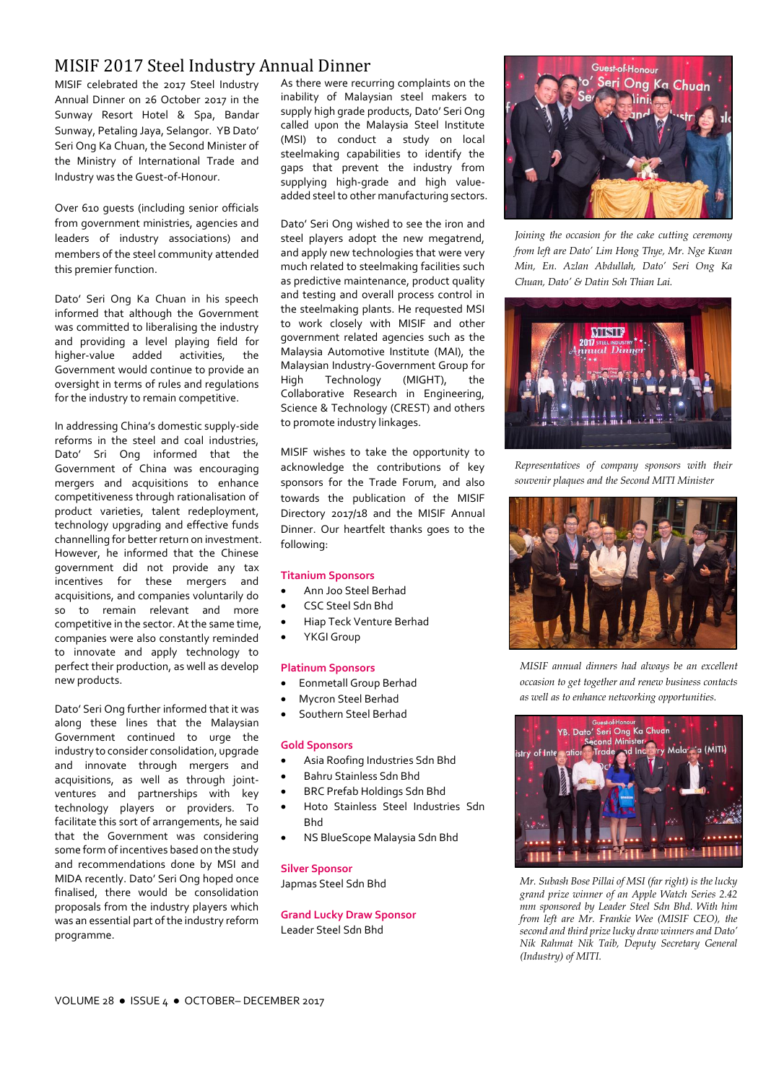# MISIF 2017 Steel Industry Annual Dinner

MISIF celebrated the 2017 Steel Industry Annual Dinner on 26 October 2017 in the Sunway Resort Hotel & Spa, Bandar Sunway, Petaling Jaya, Selangor.YB Dato' Seri Ong Ka Chuan, the Second Minister of the Ministry of International Trade and Industry was the Guest-of-Honour.

Over 610 guests (including senior officials from government ministries, agencies and leaders of industry associations) and members of the steel community attended this premier function.

Dato' Seri Ong Ka Chuan in his speech informed that although the Government was committed to liberalising the industry and providing a level playing field for<br>higher-value added activities, the higher-value added activities, the Government would continue to provide an oversight in terms of rules and regulations for the industry to remain competitive.

In addressing China's domestic supply-side reforms in the steel and coal industries, Dato' Sri Ong informed that the Government of China was encouraging mergers and acquisitions to enhance competitiveness through rationalisation of product varieties, talent redeployment, technology upgrading and effective funds channelling for better return on investment. However, he informed that the Chinese government did not provide any tax incentives for these mergers and acquisitions, and companies voluntarily do so to remain relevant and more competitive in the sector. At the same time, companies were also constantly reminded to innovate and apply technology to perfect their production, as well as develop new products.

Dato' Seri Ong further informed that it was along these lines that the Malaysian Government continued to urge the industry to consider consolidation, upgrade and innovate through mergers and acquisitions, as well as through jointventures and partnerships with key technology players or providers. To facilitate this sort of arrangements, he said that the Government was considering some form of incentives based on the study and recommendations done by MSI and MIDA recently. Dato' Seri Ong hoped once finalised, there would be consolidation proposals from the industry players which was an essential part of the industry reform programme.

As there were recurring complaints on the inability of Malaysian steel makers to supply high grade products, Dato' Seri Ong called upon the Malaysia Steel Institute (MSI) to conduct a study on local steelmaking capabilities to identify the gaps that prevent the industry from supplying high-grade and high valueadded steel to other manufacturing sectors.

Dato' Seri Ong wished to see the iron and steel players adopt the new megatrend, and apply new technologies that were very much related to steelmaking facilities such as predictive maintenance, product quality and testing and overall process control in the steelmaking plants. He requested MSI to work closely with MISIF and other government related agencies such as the Malaysia Automotive Institute (MAI), the Malaysian Industry-Government Group for High Technology (MIGHT), the Collaborative Research in Engineering, Science & Technology (CREST) and others to promote industry linkages.

MISIF wishes to take the opportunity to acknowledge the contributions of key sponsors for the Trade Forum, and also towards the publication of the MISIF Directory 2017/18 and the MISIF Annual Dinner. Our heartfelt thanks goes to the following:

#### **Titanium Sponsors**

- Ann Joo Steel Berhad
- CSC Steel Sdn Bhd
- Hiap Teck Venture Berhad
- YKGI Group

#### **Platinum Sponsors**

- Eonmetall Group Berhad
- Mycron Steel Berhad
- Southern Steel Berhad

#### **Gold Sponsors**

- Asia Roofing Industries Sdn Bhd
- Bahru Stainless Sdn Bhd
- BRC Prefab Holdings Sdn Bhd
- Hoto Stainless Steel Industries Sdn Bhd
- NS BlueScope Malaysia Sdn Bhd

#### **Silver Sponsor**

Japmas Steel Sdn Bhd

**Grand Lucky Draw Sponsor** Leader Steel Sdn Bhd



*Joining the occasion for the cake cutting ceremony from left are Dato' Lim Hong Thye, Mr. Nge Kwan Min, En. Azlan Abdullah, Dato' Seri Ong Ka Chuan, Dato' & Datin Soh Thian Lai.*



*Representatives of company sponsors with their souvenir plaques and the Second MITI Minister*



*MISIF annual dinners had always be an excellent occasion to get together and renew business contacts as well as to enhance networking opportunities.*



*Mr. Subash Bose Pillai of MSI (far right) is the lucky grand prize winner of an Apple Watch Series 2.42 mm sponsored by Leader Steel Sdn Bhd. With him from left are Mr. Frankie Wee (MISIF CEO), the second and third prize lucky draw winners and Dato' Nik Rahmat Nik Taib, Deputy Secretary General (Industry) of MITI.*